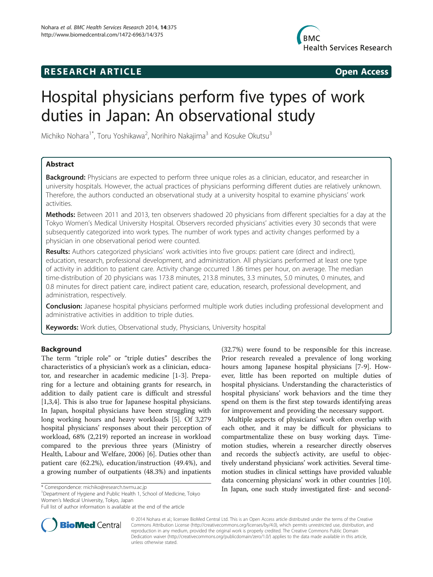## **RESEARCH ARTICLE Example 2014 CONSIDERING CONSIDERING CONSIDERING CONSIDERING CONSIDERING CONSIDERING CONSIDERING CONSIDERING CONSIDERING CONSIDERING CONSIDERING CONSIDERING CONSIDERING CONSIDERING CONSIDERING CONSIDE**



# Hospital physicians perform five types of work duties in Japan: An observational study

Michiko Nohara<sup>1\*</sup>, Toru Yoshikawa<sup>2</sup>, Norihiro Nakajima<sup>3</sup> and Kosuke Okutsu<sup>3</sup>

## Abstract

Background: Physicians are expected to perform three unique roles as a clinician, educator, and researcher in university hospitals. However, the actual practices of physicians performing different duties are relatively unknown. Therefore, the authors conducted an observational study at a university hospital to examine physicians' work activities.

Methods: Between 2011 and 2013, ten observers shadowed 20 physicians from different specialties for a day at the Tokyo Women's Medical University Hospital. Observers recorded physicians' activities every 30 seconds that were subsequently categorized into work types. The number of work types and activity changes performed by a physician in one observational period were counted.

Results: Authors categorized physicians' work activities into five groups: patient care (direct and indirect), education, research, professional development, and administration. All physicians performed at least one type of activity in addition to patient care. Activity change occurred 1.86 times per hour, on average. The median time-distribution of 20 physicians was 173.8 minutes, 213.8 minutes, 3.3 minutes, 5.0 minutes, 0 minutes, and 0.8 minutes for direct patient care, indirect patient care, education, research, professional development, and administration, respectively.

Conclusion: Japanese hospital physicians performed multiple work duties including professional development and administrative activities in addition to triple duties.

Keywords: Work duties, Observational study, Physicians, University hospital

## Background

The term "triple role" or "triple duties" describes the characteristics of a physician's work as a clinician, educator, and researcher in academic medicine [[1](#page-4-0)-[3\]](#page-4-0). Preparing for a lecture and obtaining grants for research, in addition to daily patient care is difficult and stressful [[1,3,4\]](#page-4-0). This is also true for Japanese hospital physicians. In Japan, hospital physicians have been struggling with long working hours and heavy workloads [\[5](#page-4-0)]. Of 3,279 hospital physicians' responses about their perception of workload, 68% (2,219) reported an increase in workload compared to the previous three years (Ministry of Health, Labour and Welfare, 2006) [\[6](#page-4-0)]. Duties other than patient care (62.2%), education/instruction (49.4%), and a growing number of outpatients (48.3%) and inpatients

<sup>1</sup>Department of Hygiene and Public Health 1, School of Medicine, Tokyo Women's Medical University, Tokyo, Japan

(32.7%) were found to be responsible for this increase. Prior research revealed a prevalence of long working hours among Japanese hospital physicians [[7-9](#page-4-0)]. However, little has been reported on multiple duties of hospital physicians. Understanding the characteristics of hospital physicians' work behaviors and the time they spend on them is the first step towards identifying areas for improvement and providing the necessary support.

Multiple aspects of physicians' work often overlap with each other, and it may be difficult for physicians to compartmentalize these on busy working days. Timemotion studies, wherein a researcher directly observes and records the subject's activity, are useful to objectively understand physicians' work activities. Several timemotion studies in clinical settings have provided valuable data concerning physicians' work in other countries [[10](#page-4-0)]. \*Correspondence: [michiko@research.twmu.ac.jp](mailto:michiko@research.twmu.ac.jp) **1998** In Japan, one such study investigated first- and second-



© 2014 Nohara et al.; licensee BioMed Central Ltd. This is an Open Access article distributed under the terms of the Creative Commons Attribution License [\(http://creativecommons.org/licenses/by/4.0\)](http://creativecommons.org/licenses/by/4.0), which permits unrestricted use, distribution, and reproduction in any medium, provided the original work is properly credited. The Creative Commons Public Domain Dedication waiver [\(http://creativecommons.org/publicdomain/zero/1.0/](http://creativecommons.org/publicdomain/zero/1.0/)) applies to the data made available in this article, unless otherwise stated.

Full list of author information is available at the end of the article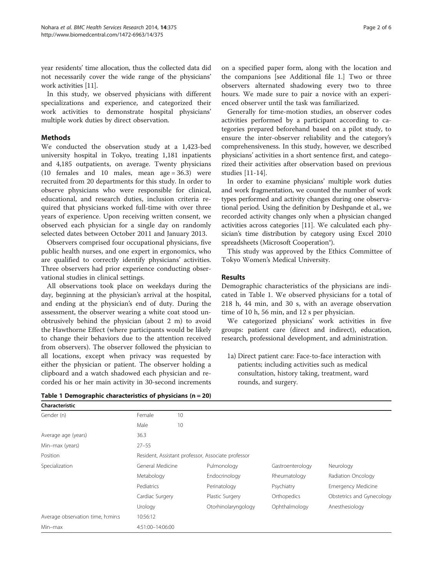year residents' time allocation, thus the collected data did not necessarily cover the wide range of the physicians' work activities [[11](#page-4-0)].

In this study, we observed physicians with different specializations and experience, and categorized their work activities to demonstrate hospital physicians' multiple work duties by direct observation.

### Methods

We conducted the observation study at a 1,423-bed university hospital in Tokyo, treating 1,181 inpatients and 4,185 outpatients, on average. Twenty physicians  $(10 \text{ females and } 10 \text{ males, mean age} = 36.3)$  were recruited from 20 departments for this study. In order to observe physicians who were responsible for clinical, educational, and research duties, inclusion criteria required that physicians worked full-time with over three years of experience. Upon receiving written consent, we observed each physician for a single day on randomly selected dates between October 2011 and January 2013.

Observers comprised four occupational physicians, five public health nurses, and one expert in ergonomics, who are qualified to correctly identify physicians' activities. Three observers had prior experience conducting observational studies in clinical settings.

All observations took place on weekdays during the day, beginning at the physician's arrival at the hospital, and ending at the physician's end of duty. During the assessment, the observer wearing a white coat stood unobtrusively behind the physician (about 2 m) to avoid the Hawthorne Effect (where participants would be likely to change their behaviors due to the attention received from observers). The observer followed the physician to all locations, except when privacy was requested by either the physician or patient. The observer holding a clipboard and a watch shadowed each physician and recorded his or her main activity in 30-second increments

on a specified paper form, along with the location and the companions [see Additional file [1](#page-4-0).] Two or three observers alternated shadowing every two to three hours. We made sure to pair a novice with an experienced observer until the task was familiarized.

Generally for time-motion studies, an observer codes activities performed by a participant according to categories prepared beforehand based on a pilot study, to ensure the inter-observer reliability and the category's comprehensiveness. In this study, however, we described physicians' activities in a short sentence first, and categorized their activities after observation based on previous studies [\[11-14](#page-4-0)].

In order to examine physicians' multiple work duties and work fragmentation, we counted the number of work types performed and activity changes during one observational period. Using the definition by Deshpande et al., we recorded activity changes only when a physician changed activities across categories [\[11\]](#page-4-0). We calculated each physician's time distribution by category using Excel 2010 spreadsheets (Microsoft Cooperation®).

This study was approved by the Ethics Committee of Tokyo Women's Medical University.

## Results

Demographic characteristics of the physicians are indicated in Table 1. We observed physicians for a total of 218 h, 44 min, and 30 s, with an average observation time of 10 h, 56 min, and 12 s per physician.

We categorized physicians' work activities in five groups: patient care (direct and indirect), education, research, professional development, and administration.

1a) Direct patient care: Face-to-face interaction with patients; including activities such as medical consultation, history taking, treatment, ward rounds, and surgery.

| <b>Characteristic</b>             |                  |                                                    |                     |                  |                           |  |  |
|-----------------------------------|------------------|----------------------------------------------------|---------------------|------------------|---------------------------|--|--|
| Gender (n)                        | Female           | 10                                                 |                     |                  |                           |  |  |
|                                   | Male             | 10                                                 |                     |                  |                           |  |  |
| Average age (years)               | 36.3             |                                                    |                     |                  |                           |  |  |
| Min-max (years)                   | $27 - 55$        |                                                    |                     |                  |                           |  |  |
| Position                          |                  | Resident, Assistant professor, Associate professor |                     |                  |                           |  |  |
| Specialization                    | General Medicine |                                                    | Pulmonology         | Gastroenterology | Neurology                 |  |  |
| Metabology                        |                  |                                                    | Endocrinology       | Rheumatology     | Radiation Oncology        |  |  |
|                                   | Pediatrics       |                                                    | Perinatology        | Psychiatry       | <b>Emergency Medicine</b> |  |  |
|                                   | Cardiac Surgery  |                                                    | Plastic Surgery     | Orthopedics      | Obstetrics and Gynecology |  |  |
|                                   | Urology          |                                                    | Otorhinolaryngology | Ophthalmology    | Anesthesiology            |  |  |
| Average observation time, h:min:s | 10:56:12         |                                                    |                     |                  |                           |  |  |
| Min-max                           | 4:51:00-14:06:00 |                                                    |                     |                  |                           |  |  |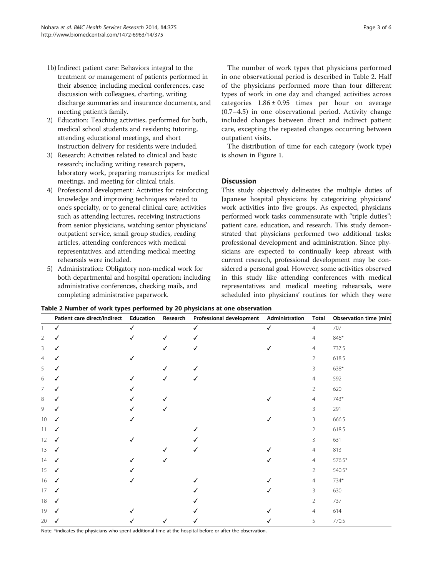- <span id="page-2-0"></span>1b) Indirect patient care: Behaviors integral to the treatment or management of patients performed in their absence; including medical conferences, case discussion with colleagues, charting, writing discharge summaries and insurance documents, and meeting patient's family.
- 2) Education: Teaching activities, performed for both, medical school students and residents; tutoring, attending educational meetings, and short instruction delivery for residents were included.
- 3) Research: Activities related to clinical and basic research; including writing research papers, laboratory work, preparing manuscripts for medical meetings, and meeting for clinical trials.
- 4) Professional development: Activities for reinforcing knowledge and improving techniques related to one's specialty, or to general clinical care; activities such as attending lectures, receiving instructions from senior physicians, watching senior physicians' outpatient service, small group studies, reading articles, attending conferences with medical representatives, and attending medical meeting rehearsals were included.
- 5) Administration: Obligatory non-medical work for both departmental and hospital operation; including administrative conferences, checking mails, and completing administrative paperwork.

The number of work types that physicians performed in one observational period is described in Table 2. Half of the physicians performed more than four different types of work in one day and changed activities across categories  $1.86 \pm 0.95$  times per hour on average (0.7–4.5) in one observational period. Activity change included changes between direct and indirect patient care, excepting the repeated changes occurring between outpatient visits.

The distribution of time for each category (work type) is shown in Figure [1.](#page-3-0)

## **Discussion**

This study objectively delineates the multiple duties of Japanese hospital physicians by categorizing physicians' work activities into five groups. As expected, physicians performed work tasks commensurate with "triple duties": patient care, education, and research. This study demonstrated that physicians performed two additional tasks: professional development and administration. Since physicians are expected to continually keep abreast with current research, professional development may be considered a personal goal. However, some activities observed in this study like attending conferences with medical representatives and medical meeting rehearsals, were scheduled into physicians' routines for which they were

| Table 2 Number of work types performed by 20 physicians at one observation |  |  |  |
|----------------------------------------------------------------------------|--|--|--|
|----------------------------------------------------------------------------|--|--|--|

|                | Patient care direct/indirect | Education    | Research     | Professional development | Administration | <b>Total</b>   | Observation time (min) |
|----------------|------------------------------|--------------|--------------|--------------------------|----------------|----------------|------------------------|
|                | ✓                            | ✓            |              | ✓                        | $\checkmark$   | $\overline{4}$ | 707                    |
| $\overline{2}$ |                              | $\checkmark$ | ✓            | √                        |                | 4              | $846*$                 |
| 3              | ✓                            |              | $\checkmark$ | $\checkmark$             | ✓              | $\overline{4}$ | 737.5                  |
| $\overline{4}$ | √                            | √            |              |                          |                | $\overline{2}$ | 618.5                  |
| 5              | √                            |              | $\checkmark$ | $\checkmark$             |                | 3              | $638*$                 |
| 6              |                              | ✓            | $\checkmark$ | ✓                        |                | $\overline{4}$ | 592                    |
| $\overline{7}$ |                              |              |              |                          |                | $\overline{2}$ | 620                    |
| 8              | ✓                            | ✓            | ✓            |                          | ✓              | 4              | $743*$                 |
| 9              |                              | ✓            | ✓            |                          |                | 3              | 291                    |
| 10             |                              | ✓            |              |                          | ✓              | 3              | 666.5                  |
| 11             |                              |              |              | ✓                        |                | $\overline{2}$ | 618.5                  |
| 12             | ✓                            | $\checkmark$ |              | ✓                        |                | 3              | 631                    |
| 13             | ✓                            |              | √            | √                        | ✓              | 4              | 813                    |
| 14             | ✓                            | ✓            | $\checkmark$ |                          | ✓              | $\overline{4}$ | $576.5*$               |
| 15             | ✓                            |              |              |                          |                | $\overline{2}$ | 540.5*                 |
| 16             | ✓                            | ✓            |              | ✓                        | √              | 4              | $734*$                 |
| 17             | √                            |              |              | ✓                        | ℐ              | 3              | 630                    |
| 18             | $\checkmark$                 |              |              |                          |                | $\overline{2}$ | 737                    |
| 19             | ✓                            | √            |              |                          | ✓              | 4              | 614                    |
| 20             | √                            | ✓            | $\checkmark$ | ✓                        | ✓              | 5              | 770.5                  |

Note: \*indicates the physicians who spent additional time at the hospital before or after the observation.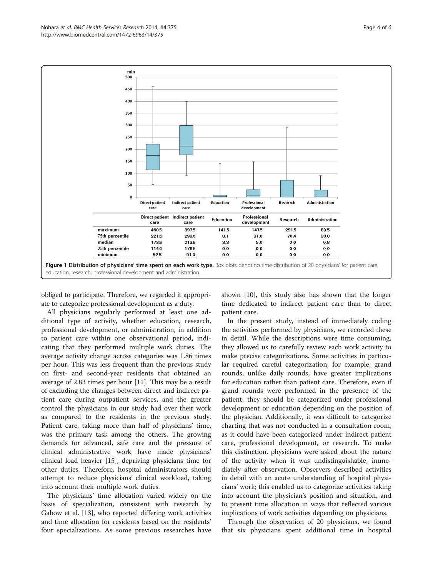<span id="page-3-0"></span>

obliged to participate. Therefore, we regarded it appropriate to categorize professional development as a duty.

All physicians regularly performed at least one additional type of activity, whether education, research, professional development, or administration, in addition to patient care within one observational period, indicating that they performed multiple work duties. The average activity change across categories was 1.86 times per hour. This was less frequent than the previous study on first- and second-year residents that obtained an average of 2.83 times per hour [\[11](#page-4-0)]. This may be a result of excluding the changes between direct and indirect patient care during outpatient services, and the greater control the physicians in our study had over their work as compared to the residents in the previous study. Patient care, taking more than half of physicians' time, was the primary task among the others. The growing demands for advanced, safe care and the pressure of clinical administrative work have made physicians' clinical load heavier [\[15\]](#page-5-0), depriving physicians time for other duties. Therefore, hospital administrators should attempt to reduce physicians' clinical workload, taking into account their multiple work duties.

The physicians' time allocation varied widely on the basis of specialization, consistent with research by Gabow et al. [[13](#page-4-0)], who reported differing work activities and time allocation for residents based on the residents' four specializations. As some previous researches have shown [\[10\]](#page-4-0), this study also has shown that the longer time dedicated to indirect patient care than to direct patient care.

In the present study, instead of immediately coding the activities performed by physicians, we recorded these in detail. While the descriptions were time consuming, they allowed us to carefully review each work activity to make precise categorizations. Some activities in particular required careful categorization; for example, grand rounds, unlike daily rounds, have greater implications for education rather than patient care. Therefore, even if grand rounds were performed in the presence of the patient, they should be categorized under professional development or education depending on the position of the physician. Additionally, it was difficult to categorize charting that was not conducted in a consultation room, as it could have been categorized under indirect patient care, professional development, or research. To make this distinction, physicians were asked about the nature of the activity when it was undistinguishable, immediately after observation. Observers described activities in detail with an acute understanding of hospital physicians' work; this enabled us to categorize activities taking into account the physician's position and situation, and to present time allocation in ways that reflected various implications of work activities depending on physicians.

Through the observation of 20 physicians, we found that six physicians spent additional time in hospital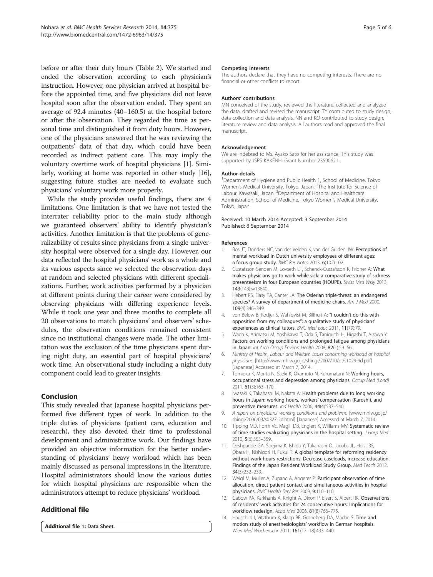<span id="page-4-0"></span>before or after their duty hours (Table [2\)](#page-2-0). We started and ended the observation according to each physician's instruction. However, one physician arrived at hospital before the appointed time, and five physicians did not leave hospital soon after the observation ended. They spent an average of 92.4 minutes (40–160.5) at the hospital before or after the observation. They regarded the time as personal time and distinguished it from duty hours. However, one of the physicians answered that he was reviewing the outpatients' data of that day, which could have been recorded as indirect patient care. This may imply the voluntary overtime work of hospital physicians [1]. Similarly, working at home was reported in other study [[16](#page-5-0)], suggesting future studies are needed to evaluate such physicians' voluntary work more properly.

While the study provides useful findings, there are 4 limitations. One limitation is that we have not tested the interrater reliability prior to the main study although we guaranteed observers' ability to identify physician's activities. Another limitation is that the problems of generalizability of results since physicians from a single university hospital were observed for a single day. However, our data reflected the hospital physicians' work as a whole and its various aspects since we selected the observation days at random and selected physicians with different specializations. Further, work activities performed by a physician at different points during their career were considered by observing physicians with differing experience levels. While it took one year and three months to complete all 20 observations to match physicians' and observers' schedules, the observation conditions remained consistent since no institutional changes were made. The other limitation was the exclusion of the time physicians spent during night duty, an essential part of hospital physicians' work time. An observational study including a night duty component could lead to greater insights.

## Conclusion

This study revealed that Japanese hospital physicians performed five different types of work. In addition to the triple duties of physicians (patient care, education and research), they also devoted their time to professional development and administrative work. Our findings have provided an objective information for the better understanding of physicians' heavy workload which has been mainly discussed as personal impressions in the literature. Hospital administrators should know the various duties for which hospital physicians are responsible when the administrators attempt to reduce physicians' workload.

## Additional file

[Additional file 1:](http://www.biomedcentral.com/content/supplementary/1472-6963-14-375-S1.xlsx) Data Sheet.

#### Competing interests

The authors declare that they have no competing interests. There are no financial or other conflicts to report.

#### Authors' contributions

MN conceived of the study, reviewed the literature, collected and analyzed the data, drafted and revised the manuscript. TY contributed to study design, data collection and data analysis. NN and KO contributed to study design, literature review and data analysis. All authors read and approved the final manuscript.

#### Acknowledgement

We are indebted to Ms. Ayako Sato for her assistance. This study was supported by JSPS KAKENHI Grant Number 23590621.

#### Author details

<sup>1</sup>Department of Hygiene and Public Health 1, School of Medicine, Tokyc Women's Medical University, Tokyo, Japan. <sup>2</sup>The Institute for Science of Labour, Kawasaki, Japan. <sup>3</sup> Department of Hospital and Healthcare Administration, School of Medicine, Tokyo Women's Medical University, Tokyo, Japan.

#### Received: 10 March 2014 Accepted: 3 September 2014 Published: 6 September 2014

#### References

- 1. Bos JT, Donders NC, van der Velden K, van der Gulden JW: Perceptions of mental workload in Dutch university employees of different ages: a focus group study. BMC Res Notes 2013, 6(102):102.
- 2. Gustafsson Senden M, Lovseth LT, Schenck-Gustafsson K, Fridner A: What makes physicians go to work while sick: a comparative study of sickness presenteeism in four European countries (HOUPE). Swiss Med Wkly 2013, 143(143):w13840.
- 3. Hebert RS, Elasy TA, Canter JA: The Oslerian triple-threat: an endangered species? A survey of department of medicine chairs. Am J Med 2000, 109(4):346–349.
- 4. von Below B, Rodjer S, Wahlqvist M, Billhult A: "I couldn't do this with opposition from my colleagues": a qualitative study of physicians' experiences as clinical tutors. BMC Med Educ 2011, 11(79):79.
- 5. Wada K, Arimatsu M, Yoshikawa T, Oda S, Taniguchi H, Higashi T, Aizawa Y: Factors on working conditions and prolonged fatigue among physicians in Japan. Int Arch Occup Environ Health 2008, 82(1):59-66.
- 6. Ministry of Health, Labour and Welfare. Issues concerning workload of hospital physicians. [<http://www.mhlw.go.jp/shingi/2007/10/dl/s1029-9d.pdf>] [Japanese] Accessed at March 7, 2014.
- 7. Tomioka K, Morita N, Saeki K, Okamoto N, Kurumatani N: Working hours, occupational stress and depression among physicians. Occup Med (Lond) 2011, 61(3):163–170.
- 8. Iwasaki K, Takahashi M, Nakata A: Health problems due to long working hours in Japan: working hours, workers' compensation (Karoshi), and preventive measures. Ind Health 2006, 44(4):537–540.
- 9. A report on physicians' working conditions and problems. [\[www.mhlw.go.jp/](www.mhlw.go.jp/shingi/2006/03/s0327-2d.html) [shingi/2006/03/s0327-2d.html\]](www.mhlw.go.jp/shingi/2006/03/s0327-2d.html) [Japanese] Accessed at March 7, 2014.
- 10. Tipping MD, Forth VE, Magill DB, Englert K, Williams MV: Systematic review of time studies evaluating physicians in the hospital setting. J Hosp Med 2010, 5(6):353–359.
- 11. Deshpande GA, Soejima K, Ishida Y, Takahashi O, Jacobs JL, Heist BS, Obara H, Nishigori H, Fukui T: A global template for reforming residency without work-hours restrictions: Decrease caseloads, increase education. Findings of the Japan Resident Workload Study Group. Med Teach 2012, 34(3):232–239.
- 12. Weigl M, Muller A, Zupanc A, Angerer P: Participant observation of time allocation, direct patient contact and simultaneous activities in hospital physicians. BMC Health Serv Res 2009, 9:110–110.
- 13. Gabow PA, Karkhanis A, Knight A, Dixon P, Eisert S, Albert RK: Observations of residents' work activities for 24 consecutive hours: Implications for workflow redesign. Acad Med 2006, 81(8):766–775.
- 14. Hauschild I, Vitzthum K, Klapp BF, Groneberg DA, Mache S: Time and motion study of anesthesiologists' workflow in German hospitals. Wien Med Wochenschr 2011, 161(17–18):433–440.